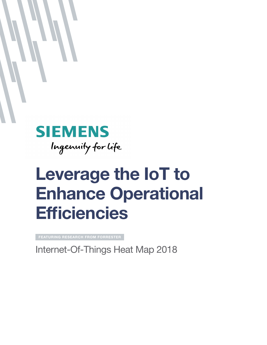

# leverage the IoT to **Enhance Operational Efficiencies**

Internet-Of-Things Heat Map 2018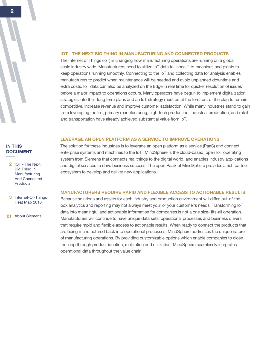

#### IOT - The next big thing in manufacturing and connected products

The Internet of Things (IoT) is changing how manufacturing operations are running on a global scale industry wide. Manufacturers need to utilize IoT data to "speak" to machines and plants to keep operations running smoothly. Connecting to the IoT and collecting data for analysis enables manufacturers to predict when maintenance will be needed and avoid unplanned downtime and extra costs. IoT data can also be analyzed on the Edge in real time for quicker resolution of issues before a major impact to operations occurs. Many operators have begun to implement digitalization strategies into their long term plans and an IoT strategy must be at the forefront of the plan to remain competitive, increase revenue and improve customer satisfaction. While many industries stand to gain from leveraging the IoT, primary manufacturing, high-tech production, industrial production, and retail and transportation have already achieved substantial value from IoT.

#### leverage an Open platform as a service to improve operations

#### **IN THIS DOCUMENT**

- 2 IOT The Next Big Thing In Manufacturing And Connected **Products**
- 3 Internet-Of-Things Heat Map 2018

21 About Siemens

The solution for these industries is to leverage an open platform as a service (PaaS) and connect enterprise systems and machines to the IoT. MindSphere is the cloud-based, open IoT operating system from Siemens that connects real things to the digital world, and enables industry applications and digital services to drive business success. The open PaaS of MindSphere provides a rich partner ecosystem to develop and deliver new applications.

#### ManufacturERS require rapid and flexible access to actionable results

Because solutions and assets for each industry and production environment will differ, out-of-thebox analytics and reporting may not always meet your or your customer's needs. Transforming IoT data into meaningful and actionable information for companies is not a one size- fits-all operation. Manufacturers will continue to have unique data sets, operational processes and business drivers that require rapid and flexible access to actionable results. When ready to connect the products that are being manufactured back into operational processes, MindSphere addresses the unique nature of manufacturing operations. By providing customizable options which enable companies to close the loop through product ideation, realization and utilization, MindSphere seamlessly integrates operational data throughout the value chain.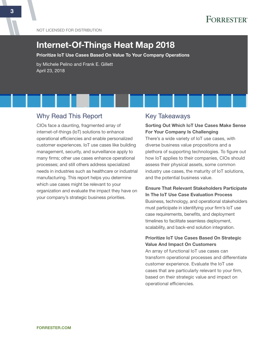# Internet-Of-Things Heat Map 2018

Prioritize IoT Use Cases Based On Value To Your Company Operations

by Michele Pelino and Frank E. Gillett April 23, 2018

## Why Read This Report

CIOs face a daunting, fragmented array of internet-of-things (IoT) solutions to enhance operational efficiencies and enable personalized customer experiences. IoT use cases like building management, security, and surveillance apply to many firms; other use cases enhance operational processes; and still others address specialized needs in industries such as healthcare or industrial manufacturing. This report helps you determine which use cases might be relevant to your organization and evaluate the impact they have on your company's strategic business priorities.

# Key Takeaways

#### Sorting Out Which IoT Use Cases Make Sense For Your Company Is Challenging

There's a wide variety of IoT use cases, with diverse business value propositions and a plethora of supporting technologies. To figure out how IoT applies to their companies, CIOs should assess their physical assets, some common industry use cases, the maturity of IoT solutions, and the potential business value.

#### Ensure That Relevant Stakeholders Participate In The IoT Use Case Evaluation Process

Business, technology, and operational stakeholders must participate in identifying your firm's IoT use case requirements, benefits, and deployment timelines to facilitate seamless deployment, scalability, and back-end solution integration.

#### Prioritize IoT Use Cases Based On Strategic Value And Impact On Customers

An array of functional IoT use cases can transform operational processes and differentiate customer experience. Evaluate the IoT use cases that are particularly relevant to your firm, based on their strategic value and impact on operational efficiencies.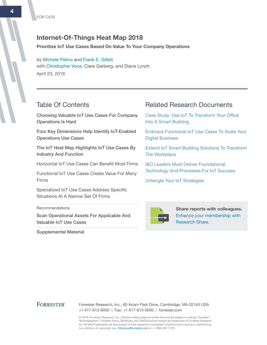## Internet-Of-Things Heat Map 2018

#### Prioritize IoT Use Cases Based On Value To Your Company Operations

by [Michele Pelino](http://www.forrester.com/go?objectid=BIO1179) and [Frank E. Gillett](http://www.forrester.com/go?objectid=BIO154) with [Christopher Voce](http://www.forrester.com/go?objectid=BIO381), Clare Garberg, and Diane Lynch April 23, 2018

## Table Of Contents

Choosing Valuable IoT Use Cases For Company Operations Is Hard

Four Key Dimensions Help Identify IoT-Enabled Operations Use Cases

The IoT Heat Map Highlights IoT Use Cases By Industry And Function

Horizontal IoT Use Cases Can Benefit Most Firms

Functional IoT Use Cases Create Value For Many Firms

Specialized IoT Use Cases Address Specific Situations At A Narrow Set Of Firms

#### **Recommendations**

Scan Operational Assets For Applicable And Valuable IoT Use Cases

Supplemental Material

## Related Research Documents

[Case Study: Use IoT To Transform Your Office](http://www.forrester.com/go?objectid=RES139898)  [Into A Smart Building](http://www.forrester.com/go?objectid=RES139898)

[Embrace Functional IoT Use Cases To Scale Your](http://www.forrester.com/go?objectid=RES121378)  [Digital Business](http://www.forrester.com/go?objectid=RES121378)

[Extend IoT Smart Building Solutions To Transform](http://www.forrester.com/go?objectid=RES132901)  [The Workplace](http://www.forrester.com/go?objectid=RES132901)

[I&O Leaders Must Deliver Foundational](http://www.forrester.com/go?objectid=RES124741)  [Technology And Processes For IoT Success](http://www.forrester.com/go?objectid=RES124741)

[Untangle Your IoT Strategies](http://www.forrester.com/go?objectid=RES121373)



Share reports with colleagues. [Enhance your membership with](https://go.forrester.com/research/research-share/?utm_source=forrester_com&utm_medium=banner&utm_content=featured&utm_campaign=research_share)  [Research Share.](https://go.forrester.com/research/research-share/?utm_source=forrester_com&utm_medium=banner&utm_content=featured&utm_campaign=research_share)

#### **FORRESTER®**

Forrester Research, Inc., 60 Acorn Park Drive, Cambridge, MA 02140 USA +1 617-613-6000 | Fax: +1 617-613-5000 | forrester.com

© 2018 Forrester Research, Inc. Opinions reflect judgment at the time and are subject to change. Forrester®, Technographics®, Forrester Wave, TechRadar, and Total Economic Impact are trademarks of Forrester Research, Inc. All other trademarks are the property of their respective companies. Unauthorized copying or distributing is a violation of copyright law. Citations@forrester.com or +1 866-367-7378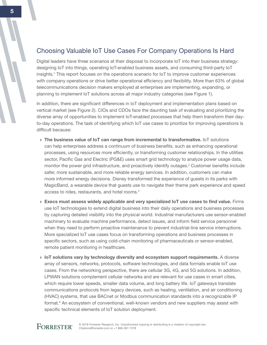# Choosing Valuable IoT Use Cases For Company Operations Is Hard

Digital leaders have three scenarios at their disposal to incorporate IoT into their business strategy: designing IoT into things, operating IoT-enabled business assets, and consuming third-party IoT insights.<sup>1</sup> This report focuses on the operations scenario for IoT to improve customer experiences with company operations or drive better operational efficiency and flexibility. More than 63% of global telecommunications decision makers employed at enterprises are implementing, expanding, or planning to implement IoT solutions across all major industry categories (see Figure 1).

In addition, there are significant differences in IoT deployment and implementation plans based on vertical market (see Figure 2). CIOs and CDOs face the daunting task of evaluating and prioritizing the diverse array of opportunities to implement IoT-enabled processes that help them transform their dayto-day operations. The task of identifying which IoT use cases to prioritize for improving operations is difficult because:

- › The business value of IoT can range from incremental to transformative. IoT solutions can help enterprises address a continuum of business benefits, such as enhancing operational processes, using resources more efficiently, or transforming customer relationships. In the utilities sector, Pacific Gas and Electric (PG&E) uses smart grid technology to analyze power usage data, monitor the power grid infrastructure, and proactively identify outages.<sup>2</sup> Customer benefits include safer, more sustainable, and more reliable energy services. In addition, customers can make more informed energy decisions. Disney transformed the experience of guests in its parks with MagicBand, a wearable device that guests use to navigate their theme park experience and speed access to rides, restaurants, and hotel rooms.<sup>3</sup>
- › Execs must assess widely applicable and very specialized IoT use cases to find value. Firms use IoT technologies to extend digital business into their daily operations and business processes by capturing detailed visibility into the physical world. Industrial manufacturers use sensor-enabled machinery to evaluate machine performance, detect issues, and inform field service personnel when they need to perform proactive maintenance to prevent industrial-line service interruptions. More specialized IoT use cases focus on transforming operations and business processes in specific sectors, such as using cold-chain monitoring of pharmaceuticals or sensor-enabled, remote patient monitoring in healthcare.
- › IoT solutions vary by technology diversity and ecosystem support requirements. A diverse array of sensors, networks, protocols, software technologies, and data formats enable IoT use cases. From the networking perspective, there are cellular 3G, 4G, and 5G solutions. In addition, LPWAN solutions complement cellular networks and are relevant for use cases in smart cities, which require lower speeds, smaller data volume, and long battery life. IoT gateways translate communications protocols from legacy devices, such as heating, ventilation, and air conditioning (HVAC) systems, that use BACnet or Modbus communication standards into a recognizable IP format.<sup>4</sup> An ecosystem of conventional, well-known vendors and new suppliers may assist with specific technical elements of IoT solution deployment.

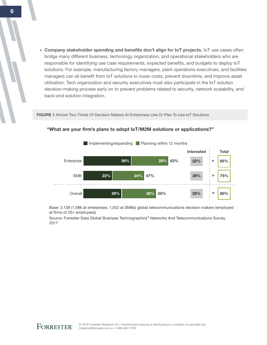› Company stakeholder spending and benefits don't align for IoT projects. IoT use cases often bridge many different business, technology organization, and operational stakeholders who are responsible for identifying use case requirements, expected benefits, and budgets to deploy IoT solutions. For example, manufacturing factory managers, plant operations executives, and facilities managers can all benefit from IoT solutions to lower costs, prevent downtime, and improve asset utilization. Tech organization and security executives must also participate in the IoT solution decision-making process early on to prevent problems related to security, network scalability, and back-end solution integration.

FIGURE 1 Almost Two-Thirds Of Decision Makers At Enterprises Use Or Plan To Use IoT Solutions



#### "What are your firm's plans to adopt IoT/M2M solutions or applications?"

Base: 3,138 (1,586 at enterprises; 1,552 at SMBs) global telecommunications decision makers (employed at firms of 20+ employees)

Source: Forrester Data Global Business Technographics® Networks And Telecommunications Survey, 2017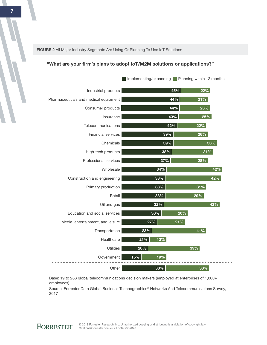FIGURE 2 All Major Industry Segments Are Using Or Planning To Use IoT Solutions

#### "What are your firm's plans to adopt IoT/M2M solutions or applications?"

|     | 22% | 45% |            | Industrial products                   |
|-----|-----|-----|------------|---------------------------------------|
|     | 21% | 44% |            | Pharmaceuticals and medical equipment |
|     | 23% | 44% |            | Consumer products                     |
| 25% |     | 43% |            | Insurance                             |
|     | 22% | 42% |            | Telecommunications                    |
|     | 26% | 39% |            | <b>Financial services</b>             |
| 33% |     | 39% |            | Chemicals                             |
| 31% |     | 38% |            | High-tech products                    |
|     | 28% | 37% |            | Professional services                 |
| 42% |     |     | 34%        | Wholesale                             |
| 42% |     |     | 33%        | Construction and engineering          |
|     | 31% |     | 33%        | Primary production                    |
|     | 29% |     | 33%        | Retail                                |
| 42% |     |     | 32%        | Oil and gas                           |
|     |     | 20% | 30%        | Education and social services         |
|     |     | 21% | 27%        | Media, entertainment, and leisure     |
|     | 41% |     | 23%        | Transportation                        |
|     |     |     | 21%<br>13% | Healthcare                            |
|     | 39% |     | 20%        | <b>Utilities</b>                      |
|     |     |     | 15%<br>19% | Government                            |
|     | 33% |     | 33%        | Other                                 |

**Implementing/expanding Planning within 12 months** 

Base: 19 to 263 global telecommunications decision makers (employed at enterprises of 1,000+ employees)

Source: Forrester Data Global Business Technographics® Networks And Telecommunications Survey, 2017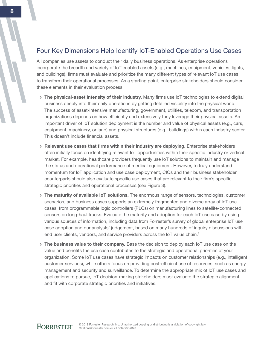# Four Key Dimensions Help Identify IoT-Enabled Operations Use Cases

All companies use assets to conduct their daily business operations. As enterprise operations incorporate the breadth and variety of IoT-enabled assets (e.g., machines, equipment, vehicles, lights, and buildings), firms must evaluate and prioritize the many different types of relevant IoT use cases to transform their operational processes. As a starting point, enterprise stakeholders should consider these elements in their evaluation process:

- > The physical-asset intensity of their industry. Many firms use IoT technologies to extend digital business deeply into their daily operations by getting detailed visibility into the physical world. The success of asset-intensive manufacturing, government, utilities, telecom, and transportation organizations depends on how efficiently and extensively they leverage their physical assets. An important driver of IoT solution deployment is the number and value of physical assets (e.g., cars, equipment, machinery, or land) and physical structures (e.g., buildings) within each industry sector. This doesn't include financial assets.
- › Relevant use cases that firms within their industry are deploying. Enterprise stakeholders often initially focus on identifying relevant IoT opportunities within their specific industry or vertical market. For example, healthcare providers frequently use IoT solutions to maintain and manage the status and operational performance of medical equipment. However, to truly understand momentum for IoT application and use case deployment, CIOs and their business stakeholder counterparts should also evaluate specific use cases that are relevant to their firm's specific strategic priorities and operational processes (see Figure 3).
- > The maturity of available IoT solutions. The enormous range of sensors, technologies, customer scenarios, and business cases supports an extremely fragmented and diverse array of IoT use cases, from programmable logic controllers (PLCs) on manufacturing lines to satellite-connected sensors on long-haul trucks. Evaluate the maturity and adoption for each IoT use case by using various sources of information, including data from Forrester's survey of global enterprise IoT use case adoption and our analysts' judgement, based on many hundreds of inquiry discussions with end user clients, vendors, and service providers across the IoT value chain.<sup>5</sup>
- > The business value to their company. Base the decision to deploy each IoT use case on the value and benefits the use case contributes to the strategic and operational priorities of your organization. Some IoT use cases have strategic impacts on customer relationships (e.g., intelligent customer services), while others focus on providing cost-efficient use of resources, such as energy management and security and surveillance. To determine the appropriate mix of IoT use cases and applications to pursue, IoT decision-making stakeholders must evaluate the strategic alignment and fit with corporate strategic priorities and initiatives.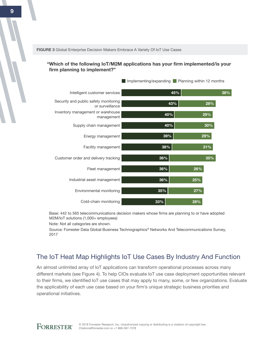FIGURE 3 Global Enterprise Decision Makers Embrace A Variety Of IoT Use Cases

#### "Which of the following IoT/M2M applications has your firm implemented/is your firm planning to implement?"



Base: 442 to 565 telecommunications decision makers whose firms are planning to or have adopted M2M/IoT solutions (1,000+ employees)

Note: Not all categories are shown.

Source: Forrester Data Global Business Technographics® Networks And Telecommunications Survey, 2017

# The IoT Heat Map Highlights IoT Use Cases By Industry And Function

An almost unlimited array of IoT applications can transform operational processes across many different markets (see Figure 4). To help CIOs evaluate IoT use case deployment opportunities relevant to their firms, we identified IoT use cases that may apply to many, some, or few organizations. Evaluate the applicability of each use case based on your firm's unique strategic business priorities and operational initiatives.

**FORRESTER®**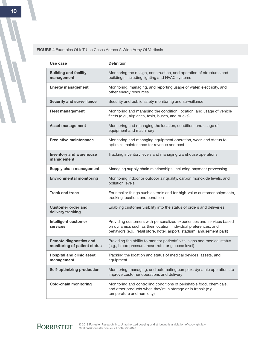FIGURE 4 Examples Of IoT Use Cases Across A Wide Array Of Verticals

| Use case                                                      | <b>Definition</b>                                                                                                                                                                                                  |  |  |
|---------------------------------------------------------------|--------------------------------------------------------------------------------------------------------------------------------------------------------------------------------------------------------------------|--|--|
| <b>Building and facility</b><br>management                    | Monitoring the design, construction, and operation of structures and<br>buildings, including lighting and HVAC systems                                                                                             |  |  |
| <b>Energy management</b>                                      | Monitoring, managing, and reporting usage of water, electricity, and<br>other energy resources                                                                                                                     |  |  |
| <b>Security and surveillance</b>                              | Security and public safety monitoring and surveillance                                                                                                                                                             |  |  |
| <b>Fleet management</b>                                       | Monitoring and managing the condition, location, and usage of vehicle<br>fleets (e.g., airplanes, taxis, buses, and trucks)                                                                                        |  |  |
| <b>Asset management</b>                                       | Monitoring and managing the location, condition, and usage of<br>equipment and machinery                                                                                                                           |  |  |
| <b>Predictive maintenance</b>                                 | Monitoring and managing equipment operation, wear, and status to<br>optimize maintenance for revenue and cost                                                                                                      |  |  |
| <b>Inventory and warehouse</b><br>management                  | Tracking inventory levels and managing warehouse operations                                                                                                                                                        |  |  |
| Supply chain management                                       | Managing supply chain relationships, including payment processing                                                                                                                                                  |  |  |
| <b>Environmental monitoring</b>                               | Monitoring indoor or outdoor air quality, carbon monoxide levels, and<br>pollution levels                                                                                                                          |  |  |
| <b>Track and trace</b>                                        | For smaller things such as tools and for high-value customer shipments,<br>tracking location, and condition                                                                                                        |  |  |
| <b>Customer order and</b><br>delivery tracking                | Enabling customer visibility into the status of orders and deliveries                                                                                                                                              |  |  |
| Intelligent customer<br>services                              | Providing customers with personalized experiences and services based<br>on dynamics such as their location, individual preferences, and<br>behaviors (e.g., retail store, hotel, airport, stadium, amusement park) |  |  |
| <b>Remote diagnostics and</b><br>monitoring of patient status | Providing the ability to monitor patients' vital signs and medical status<br>(e.g., blood pressure, heart rate, or glucose level)                                                                                  |  |  |
| <b>Hospital and clinic asset</b><br>management                | Tracking the location and status of medical devices, assets, and<br>equipment                                                                                                                                      |  |  |
| <b>Self-optimizing production</b>                             | Monitoring, managing, and automating complex, dynamic operations to<br>improve customer operations and delivery                                                                                                    |  |  |
| <b>Cold-chain monitoring</b>                                  | Monitoring and controlling conditions of perishable food, chemicals,<br>and other products when they're in storage or in transit (e.g.,<br>temperature and humidity)                                               |  |  |

FORRESTER®

 $\overline{\mathcal{L}}$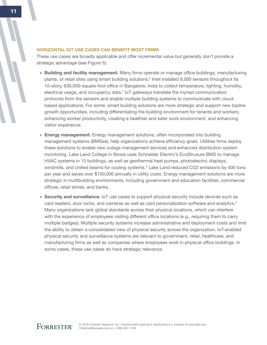#### Horizontal IoT Use Cases Can Benefit Most Firms

These use cases are broadly applicable and offer incremental value but generally don't provide a strategic advantage (see Figure 5):

- **› Building and facility management.** Many firms operate or manage office buildings, manufacturing plants, or retail sites using smart building solutions.<sup>6</sup> Intel installed 9,000 sensors throughout its 10-story, 630,000-square-foot office in Bangalore, India to collect temperature, lighting, humidity, electrical usage, and occupancy data.<sup>7</sup> loT gateways translate the myriad communication protocols from the sensors and enable multiple building systems to communicate with cloudbased applications. For some, smart building solutions are more strategic and support new topline growth opportunities, including differentiating the building environment for tenants and workers, enhancing worker productivity, creating a healthier and safer work environment, and enhancing visitor experience.
- **Energy management.** Energy management solutions, often incorporated into building management systems (BMSes), help organizations achieve efficiency goals. Utilities firms deploy these solutions to enable new outage management services and enhanced distribution system monitoring. Lake Land College in Illinois uses Schneider Electric's EcoStruxure BMS to manage HVAC systems in 15 buildings, as well as geothermal heat pumps, photoelectric displays, windmills, and chilled beams for cooling systems.<sup>8</sup> Lake Land reduced CO2 emissions by 400 tons per year and saves over \$100,000 annually in utility costs. Energy management solutions are more strategic in multibuilding environments, including government and education facilities, commercial offices, retail stores, and banks.
- › Security and surveillance. IoT use cases to support physical security include devices such as card readers, door locks, and cameras as well as card personalization software and analytics.<sup>9</sup> Many organizations lack global standards across their physical locations, which can interfere with the experience of employees visiting different office locations (e.g., requiring them to carry multiple badges). Multiple security systems increase administrative and deployment costs and limit the ability to obtain a consolidated view of physical security across the organization. IoT-enabled physical security and surveillance systems are relevant to government, retail, healthcare, and manufacturing firms as well as companies where employees work in physical office buildings. In some cases, these use cases do have strategic relevance.

 $\overline{a}$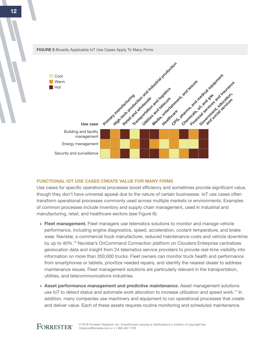

#### FIGURE 5 Broadly Applicable IoT Use Cases Apply To Many Firms

#### Functional IoT Use Cases Create Value For Many Firms

Use cases for specific operational processes boost efficiency and sometimes provide significant value, though they don't have universal appeal due to the nature of certain businesses. IoT use cases often transform operational processes commonly used across multiple markets or environments. Examples of common processes include inventory and supply chain management, used in industrial and manufacturing, retail, and healthcare sectors (see Figure 6):

- **> Fleet management.** Fleet managers use telematics solutions to monitor and manage vehicle performance, including engine diagnostics, speed, acceleration, coolant temperature, and brake wear. Navistar, a commercial truck manufacturer, reduced maintenance costs and vehicle downtime by up to 40%.<sup>10</sup> Navistar's OnCommand Connection platform on Cloudera Enterprise centralizes geolocation data and insight from 24 telematics service providers to provide real-time visibility into information on more than 350,000 trucks. Fleet owners can monitor truck health and performance from smartphones or tablets, prioritize needed repairs, and identify the nearest dealer to address maintenance issues. Fleet management solutions are particularly relevant in the transportation, utilities, and telecommunications industries.
- › Asset performance management and predictive maintenance. Asset management solutions use IoT to detect status and automate work allocation to increase utilization and speed work.<sup>11</sup> In addition, many companies use machinery and equipment to run operational processes that create and deliver value. Each of these assets requires routine monitoring and scheduled maintenance.

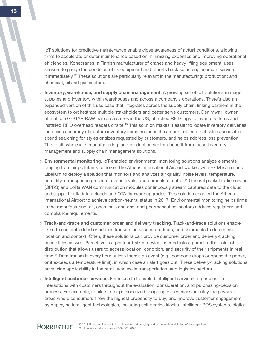

IoT solutions for predictive maintenance enable close awareness of actual conditions, allowing firms to accelerate or defer maintenance based on minimizing expenses and improving operational efficiencies. Konecranes, a Finnish manufacturer of cranes and heavy lifting equipment, uses sensors to gauge the condition of its equipment and reports back so an engineer can service it immediately.12 These solutions are particularly relevant in the manufacturing; production; and chemical, oil and gas sectors.

- › Inventory, warehouse, and supply chain management. A growing set of IoT solutions manage supplies and inventory within warehouses and across a company's operations. There's also an expanded version of this use case that integrates across the supply chain, linking partners in the ecosystem to orchestrate multiple stakeholders and better serve customers. Denimwall, owner of multiple G-STAR RAW franchise stores in the US, attached RFID tags to inventory items and installed RFID overhead readers onsite.13 This solution makes it easier to locate inventory deliveries, increases accuracy of in-store inventory items, reduces the amount of time that sales associates spend searching for styles or sizes requested by customers, and helps address loss prevention. The retail, wholesale, manufacturing, and production sectors benefit from these inventory management and supply chain management solutions.
- › Environmental monitoring. IoT-enabled environmental monitoring solutions analyze elements ranging from air pollutants to noise. The Athens International Airport worked with Ex Machina and Libelium to deploy a solution that monitors and analyzes air quality, noise levels, temperature, humidity, atmospheric pressure, ozone levels, and particulate matter.<sup>14</sup> General packet radio service (GPRS) and LoRa WAN communication modules continuously stream captured data to the cloud and support bulk data uploads and OTA firmware upgrades. This solution enabled the Athens International Airport to achieve carbon-neutral status in 2017. Environmental monitoring helps firms in the manufacturing, oil, chemicals and gas, and pharmaceutical sectors address regulatory and compliance requirements.
- > Track-and-trace and customer order and delivery tracking. Track-and-trace solutions enable firms to use embedded or add-on trackers on assets, products, and shipments to determine location and context. Often, these solutions can provide customer order and delivery-tracking capabilities as well. ParceLive is a postcard-sized device inserted into a parcel at the point of distribution that allows users to access location, condition, and security of their shipments in real time.<sup>15</sup> Data transmits every hour unless there's an event (e.g., someone drops or opens the parcel, or it exceeds a temperature limit), in which case an alert goes out. These delivery-tracking solutions have wide applicability in the retail, wholesale transportation, and logistics sectors.
- › Intelligent customer services. Firms use IoT-enabled intelligent services to personalize interactions with customers throughout the evaluation, consideration, and purchasing-decision process. For example, retailers offer personalized shopping experiences; identify the physical areas where consumers show the highest propensity to buy; and improve customer engagement by deploying intelligent technologies, including self-service kiosks, intelligent POS systems, digital



© 2018 Forrester Research, Inc. Unauthorized copying or distributing is a violation of copyright law. Citations@forrester.com or +1 866-367-7378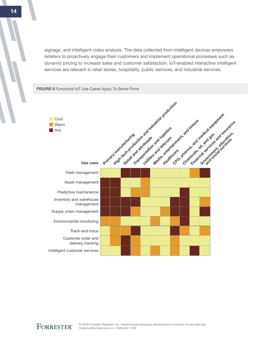signage, and intelligent video analysis. The data collected from intelligent devices empowers retailers to proactively engage their customers and implement operational processes such as dynamic pricing to increase sales and customer satisfaction. IoT-enabled interactive intelligent services are relevant in retail stores, hospitality, public services, and industrial services.





 $\overline{a}$ 

**FORRESTER®** 

© 2018 Forrester Research, Inc. Unauthorized copying or distributing is a violation of copyright law. Citations@forrester.com or +1 866-367-7378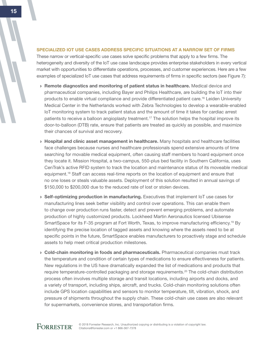#### Specialized IoT Use Cases Address Specific Situations At A Narrow Set Of Firms

These narrow or vertical-specific use cases solve specific problems that apply to a few firms. The heterogeneity and diversity of the IoT use case landscape provides enterprise stakeholders in every vertical market with opportunities to differentiate operations, processes, and customer experiences. Here are a few examples of specialized IoT use cases that address requirements of firms in specific sectors (see Figure 7):

- › Remote diagnostics and monitoring of patient status in healthcare. Medical device and pharmaceutical companies, including Bayer and Philips Healthcare, are building the IoT into their products to enable virtual compliance and provide differentiated patient care.16 Leiden University Medical Center in the Netherlands worked with Zebra Technologies to develop a wearable-enabled IoT monitoring system to track patient status and the amount of time it takes for cardiac arrest patients to receive a balloon angioplasty treatment.17 The solution helps the hospital improve its door-to-balloon (DTB) rate, ensure that patients are treated as quickly as possible, and maximize their chances of survival and recovery.
- › Hospital and clinic asset management in healthcare. Many hospitals and healthcare facilities face challenges because nurses and healthcare professionals spend extensive amounts of time searching for movable medical equipment, often causing staff members to hoard equipment once they locate it. Mission Hospital, a two-campus, 550-plus bed facility in Southern California, uses CenTrak's active RFID system to track the location and maintenance status of its moveable medical equipment.<sup>18</sup> Staff can access real-time reports on the location of equipment and ensure that no one loses or steals valuable assets. Deployment of this solution resulted in annual savings of \$150,000 to \$200,000 due to the reduced rate of lost or stolen devices.
- › Self-optimizing production in manufacturing. Executives that implement IoT use cases for manufacturing lines seek better visibility and control over operations. This can enable them to change over production runs faster, detect and prevent emerging problems, and automate production of highly customized products. Lockheed Martin Aeronautics licensed Ubisense SmartSpace for its F-35 program at Fort Worth, Texas, to improve manufacturing efficiency.<sup>19</sup> By identifying the precise location of tagged assets and knowing where the assets need to be at specific points in the future, SmartSpace enables manufacturers to proactively stage and schedule assets to help meet critical production milestones.
- › Cold-chain monitoring in foods and pharmaceuticals. Pharmaceutical companies must track the temperature and condition of certain types of medications to ensure effectiveness for patients. New regulations in the US have dramatically expanded the list of medications and products that require temperature-controlled packaging and storage requirements.<sup>20</sup> The cold-chain distribution process often involves multiple storage and transit locations, including airports and docks, and a variety of transport, including ships, aircraft, and trucks. Cold-chain monitoring solutions often include GPS location capabilities and sensors to monitor temperature, tilt, vibration, shock, and pressure of shipments throughout the supply chain. These cold-chain use cases are also relevant for supermarkets, convenience stores, and transportation firms.

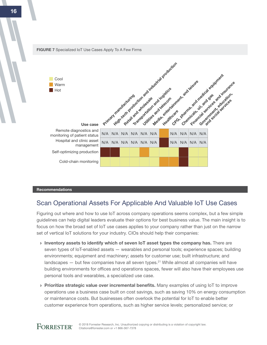

#### FIGURE 7 Specialized IoT Use Cases Apply To A Few Firms

#### Recommendations

## Scan Operational Assets For Applicable And Valuable IoT Use Cases

Figuring out where and how to use IoT across company operations seems complex, but a few simple guidelines can help digital leaders evaluate their options for best business value. The main insight is to focus on how the broad set of IoT use cases applies to your company rather than just on the narrow set of vertical IoT solutions for your industry. CIOs should help their companies:

- › Inventory assets to identify which of seven IoT asset types the company has. There are seven types of IoT-enabled assets — wearables and personal tools; experience spaces; building environments; equipment and machinery; assets for customer use; built infrastructure; and landscapes  $-$  but few companies have all seven types.<sup>21</sup> While almost all companies will have building environments for offices and operations spaces, fewer will also have their employees use personal tools and wearables, a specialized use case.
- > Prioritize strategic value over incremental benefits. Many examples of using IoT to improve operations use a business case built on cost savings, such as saving 10% on energy consumption or maintenance costs. But businesses often overlook the potential for IoT to enable better customer experience from operations, such as higher service levels; personalized service; or

**FORRESTER®**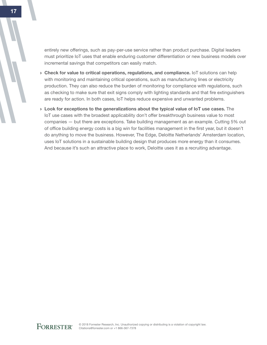entirely new offerings, such as pay-per-use service rather than product purchase. Digital leaders must prioritize IoT uses that enable enduring customer differentiation or new business models over incremental savings that competitors can easily match.

- › Check for value to critical operations, regulations, and compliance. IoT solutions can help with monitoring and maintaining critical operations, such as manufacturing lines or electricity production. They can also reduce the burden of monitoring for compliance with regulations, such as checking to make sure that exit signs comply with lighting standards and that fire extinguishers are ready for action. In both cases, IoT helps reduce expensive and unwanted problems.
- › Look for exceptions to the generalizations about the typical value of IoT use cases. The IoT use cases with the broadest applicability don't offer breakthrough business value to most companies — but there are exceptions. Take building management as an example. Cutting 5% out of office building energy costs is a big win for facilities management in the first year, but it doesn't do anything to move the business. However, The Edge, Deloitte Netherlands' Amsterdam location, uses IoT solutions in a sustainable building design that produces more energy than it consumes. And because it's such an attractive place to work, Deloitte uses it as a recruiting advantage.

 $\overline{a}$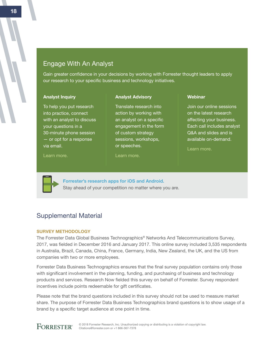# Engage With An Analyst

Gain greater confidence in your decisions by working with Forrester thought leaders to apply our research to your specific business and technology initiatives.

> Translate research into action by working with an analyst on a specific engagement in the form of custom strategy sessions, workshops,

Analyst Advisory

#### Analyst Inquiry

To help you put research into practice, connect with an analyst to discuss your questions in a 30-minute phone session — or opt for a response via email.

#### [Learn more.](http://forr.com/1einFan)

[Learn more.](http://www.forrester.com/Analyst-Advisory/-/E-MPL172)

or speeches.

#### **Webinar**

Join our online sessions on the latest research affecting your business. Each call includes analyst Q&A and slides and is available on-demand.

[Learn more](https://www.forrester.com/events?N=10006+5025).



[Forrester's research apps for iOS and Android.](http://www.forrester.com/app) Stay ahead of your competition no matter where you are.

# Supplemental Material

#### Survey Methodology

The Forrester Data Global Business Technographics® Networks And Telecommunications Survey, 2017, was fielded in December 2016 and January 2017. This online survey included 3,535 respondents in Australia, Brazil, Canada, China, France, Germany, India, New Zealand, the UK, and the US from companies with two or more employees.

Forrester Data Business Technographics ensures that the final survey population contains only those with significant involvement in the planning, funding, and purchasing of business and technology products and services. Research Now fielded this survey on behalf of Forrester. Survey respondent incentives include points redeemable for gift certificates.

Please note that the brand questions included in this survey should not be used to measure market share. The purpose of Forrester Data Business Technographics brand questions is to show usage of a brand by a specific target audience at one point in time.

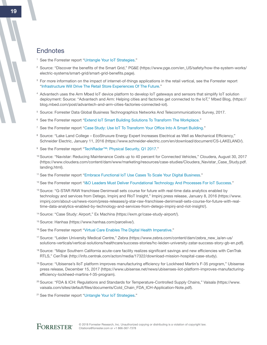# **Endnotes**

- <sup>1</sup> See the Forrester report "[Untangle Your IoT Strategies.](http://www.forrester.com/go?objectid=RES121373)"
- <sup>2</sup> Source: "Discover the benefits of the Smart Grid," PG&E (https://www.pge.com/en\_US/safety/how-the-system-works/ electric-systems/smart-grid/smart-grid-benefits.page).
- <sup>3</sup> For more information on the impact of internet-of-things applications in the retail vertical, see the Forrester report ["Infrastructure Will Drive The Retail Store Experiences Of The Future](http://www.forrester.com/go?objectid=RES102822)."
- <sup>4</sup> Advantech uses the Arm Mbed IoT device platform to develop IoT gateways and sensors that simplify IoT solution deployment: Source: "Advantech and Arm: Helping cities and factories get connected to the IoT," Mbed Blog, (https:// blog.mbed.com/post/advantech-and-arm-cities-factories-connected-iot).
- <sup>5</sup> Source: Forrester Data Global Business Technographics Networks And Telecommunications Survey, 2017.
- <sup>6</sup> See the Forrester report "[Extend IoT Smart Building Solutions To Transform The Workplace.](http://www.forrester.com/go?objectid=RES132901)"
- <sup>7</sup> See the Forrester report "[Case Study: Use IoT To Transform Your Office Into A Smart Building.](http://www.forrester.com/go?objectid=RES139898)"
- <sup>8</sup> Source: "Lake Land College EcoStruxure Energy Expert Increases Electrical as Well as Mechanical Efficiency," Schneider Electric, January 11, 2016 (https://www.schneider-electric.com/en/download/document/CS-LAKELAND/).
- <sup>9</sup> See the Forrester report "TechRadar<sup>™</sup>: Physical Security, Q1 2017."
- <sup>10</sup> Source: "Navistar: Reducing Maintenance Costs up to 40 percent for Connected Vehicles," Cloudera, August 30, 2017 (https://www.cloudera.com/content/dam/www/marketing/resources/case-studies/Cloudera\_Navistar\_Case\_Study.pdf. landing.html).
- <sup>11</sup> See the Forrester report "[Embrace Functional IoT Use Cases To Scale Your Digital Business](http://www.forrester.com/go?objectid=RES121378)."
- <sup>12</sup> See the Forrester report "[I&O Leaders Must Deliver Foundational Technology And Processes For IoT Success](http://www.forrester.com/go?objectid=RES124741)."
- <sup>13</sup> Source: "G-STAR RAW franchisee Denimwall sets course for future with real-time data analytics enabled by technology and services from Detego, Impinj and RIoT Insight," Impinj press release, January 8, 2016 (https://www. impinj.com/about-us/news-room/press-releases/g-star-raw-franchisee-denimwall-sets-course-for-future-with-realtime-data-analytics-enabled-by-technology-and-services-from-detego-impinj-and-riot-insight/).
- <sup>14</sup> Source: "Case Study: Airport," Ex Machina (https://exm.gr/case-study-airport/).
- <sup>15</sup> Source: Hanhaa (https://www.hanhaa.com/parcelive/).
- <sup>16</sup> See the Forrester report "[Virtual Care Enables The Digital Health Imperative](http://www.forrester.com/go?objectid=RES141929)."
- <sup>17</sup> Source: "Leiden University Medical Centre," Zebra (https://www.zebra.com/content/dam/zebra\_new\_ia/en-us/ solutions-verticals/vertical-solutions/healthcare/success-stories/hc-leiden-university-zatar-success-story-gb-en.pdf).
- <sup>18</sup> Source: "Major Southern California acute-care facility realizes significant savings and new efficiencies with CenTrak RTLS," CenTrak (http://info.centrak.com/acton/media/17322/download-mission-hospital-case-study).
- <sup>19</sup> Source: "Ubisense's IIoT platform improves manufacturing efficiency for Lockheed Martin's F-35 program," Ubisense press release, December 15, 2017 (https://www.ubisense.net/news/ubisenses-iiot-platform-improves-manufacturingefficiency-lockheed-martins-f-35-program).
- <sup>20</sup> Source: "FDA & ICH: Regulations and Standards for Temperature-Controlled Supply Chains," Vaisala (https://www. vaisala.com/sites/default/files/documents/Cold\_Chain\_FDA\_ICH-Application-Note.pdf).
- <sup>21</sup> See the Forrester report "[Untangle Your IoT Strategies.](http://www.forrester.com/go?objectid=RES121373)"

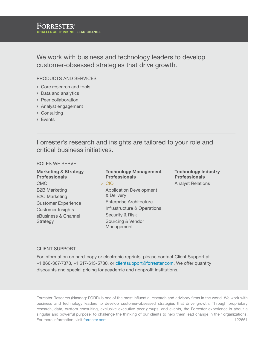We work with business and technology leaders to develop customer-obsessed strategies that drive growth.

#### Products and Services

- › Core research and tools
- › Data and analytics
- › Peer collaboration
- › Analyst engagement
- › Consulting
- › Events

Forrester's research and insights are tailored to your role and critical business initiatives.

#### Roles We Serve

| <b>Technology Management</b><br><b>Professionals</b> | <b>Technology Industry</b><br><b>Professionals</b> |
|------------------------------------------------------|----------------------------------------------------|
|                                                      | <b>Analyst Relations</b>                           |
| <b>Application Development</b>                       |                                                    |
| & Delivery                                           |                                                    |
| <b>Enterprise Architecture</b>                       |                                                    |
| Infrastructure & Operations                          |                                                    |
| Security & Risk                                      |                                                    |
| Sourcing & Vendor<br>Management                      |                                                    |
|                                                      | $\sum$ CIO                                         |

#### Client support

For information on hard-copy or electronic reprints, please contact Client Support at +1 866-367-7378, +1 617-613-5730, or clientsupport@forrester.com. We offer quantity discounts and special pricing for academic and nonprofit institutions.

Forrester Research (Nasdaq: FORR) is one of the most influential research and advisory firms in the world. We work with business and technology leaders to develop customer-obsessed strategies that drive growth. Through proprietary research, data, custom consulting, exclusive executive peer groups, and events, the Forrester experience is about a singular and powerful purpose: to challenge the thinking of our clients to help them lead change in their organizations. For more information, visit forrester.com. 122661